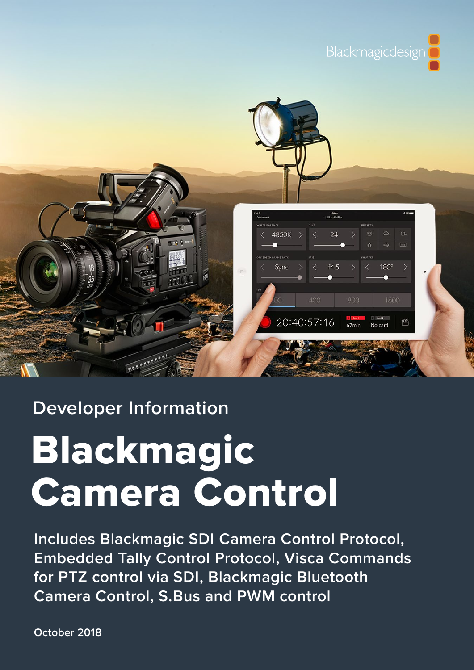



# **Developer Information**

# Blackmagic Camera Control

**Includes Blackmagic SDI Camera Control Protocol, Embedded Tally Control Protocol, Visca Commands for PTZ control via SDI, Blackmagic Bluetooth Camera Control, S.Bus and PWM control**

**October 2018**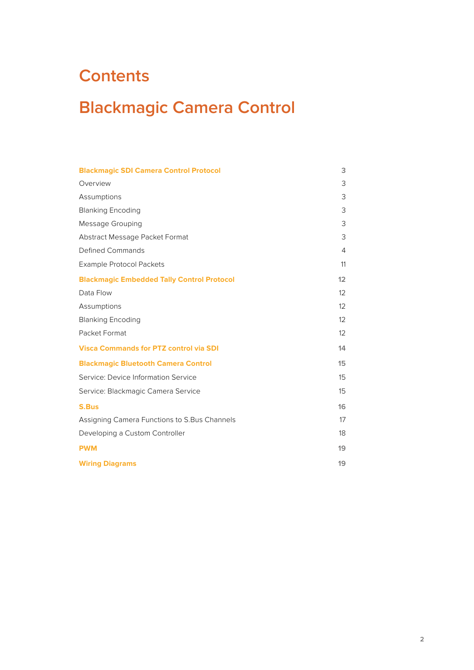# <span id="page-1-0"></span>**Contents**

# **Blackmagic Camera Control**

| <b>Blackmagic SDI Camera Control Protocol</b>     | 3                 |
|---------------------------------------------------|-------------------|
| Overview                                          | 3                 |
| Assumptions                                       | 3                 |
| <b>Blanking Encoding</b>                          | 3                 |
| Message Grouping                                  | 3                 |
| Abstract Message Packet Format                    | 3                 |
| <b>Defined Commands</b>                           | 4                 |
| <b>Example Protocol Packets</b>                   | 11                |
| <b>Blackmagic Embedded Tally Control Protocol</b> | 12                |
| Data Flow                                         | $12 \overline{ }$ |
| Assumptions                                       | 12                |
| <b>Blanking Encoding</b>                          | $12 \overline{ }$ |
| Packet Format                                     | $12 \overline{ }$ |
| <b>Visca Commands for PTZ control via SDI</b>     | 14                |
| <b>Blackmagic Bluetooth Camera Control</b>        | 15                |
| Service: Device Information Service               | 15                |
| Service: Blackmagic Camera Service                | 15                |
| <b>S.Bus</b>                                      | 16                |
| Assigning Camera Functions to S.Bus Channels      | 17                |
| Developing a Custom Controller                    | 18                |
| <b>PWM</b>                                        | 19                |
| <b>Wiring Diagrams</b>                            | 19                |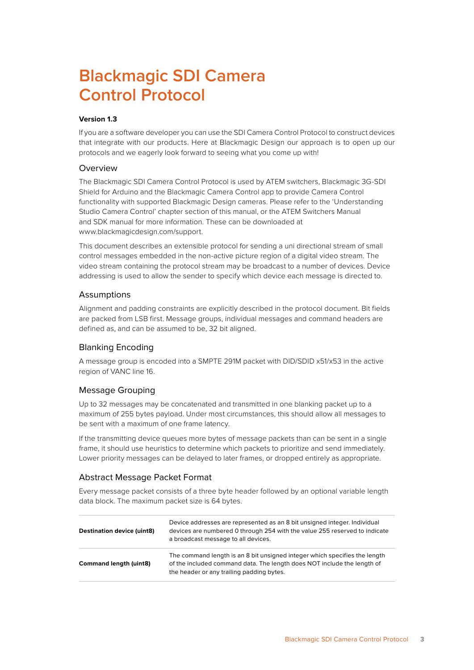# <span id="page-2-0"></span>**Blackmagic SDI Camera Control Protocol**

### **Version 1.3**

If you are a software developer you can use the SDI Camera Control Protocol to construct devices that integrate with our products. Here at Blackmagic Design our approach is to open up our protocols and we eagerly look forward to seeing what you come up with!

### Overview

The Blackmagic SDI Camera Control Protocol is used by ATEM switchers, Blackmagic 3G-SDI Shield for Arduino and the Blackmagic Camera Control app to provide Camera Control functionality with supported Blackmagic Design cameras. Please refer to the 'Understanding Studio Camera Control' chapter section of this manual, or the ATEM Switchers Manual and SDK manual for more information. These can be downloaded at www.blackmagicdesign.com/support.

This document describes an extensible protocol for sending a uni directional stream of small control messages embedded in the non-active picture region of a digital video stream. The video stream containing the protocol stream may be broadcast to a number of devices. Device addressing is used to allow the sender to specify which device each message is directed to.

# **Assumptions**

Alignment and padding constraints are explicitly described in the protocol document. Bit fields are packed from LSB first. Message groups, individual messages and command headers are defined as, and can be assumed to be, 32 bit aligned.

# Blanking Encoding

A message group is encoded into a SMPTE 291M packet with DID/SDID x51/x53 in the active region of VANC line 16.

# Message Grouping

Up to 32 messages may be concatenated and transmitted in one blanking packet up to a maximum of 255 bytes payload. Under most circumstances, this should allow all messages to be sent with a maximum of one frame latency.

If the transmitting device queues more bytes of message packets than can be sent in a single frame, it should use heuristics to determine which packets to prioritize and send immediately. Lower priority messages can be delayed to later frames, or dropped entirely as appropriate.

# Abstract Message Packet Format

Every message packet consists of a three byte header followed by an optional variable length data block. The maximum packet size is 64 bytes.

| <b>Destination device (uint8)</b> | Device addresses are represented as an 8 bit unsigned integer. Individual<br>devices are numbered 0 through 254 with the value 255 reserved to indicate<br>a broadcast message to all devices.     |
|-----------------------------------|----------------------------------------------------------------------------------------------------------------------------------------------------------------------------------------------------|
| <b>Command length (uint8)</b>     | The command length is an 8 bit unsigned integer which specifies the length<br>of the included command data. The length does NOT include the length of<br>the header or any trailing padding bytes. |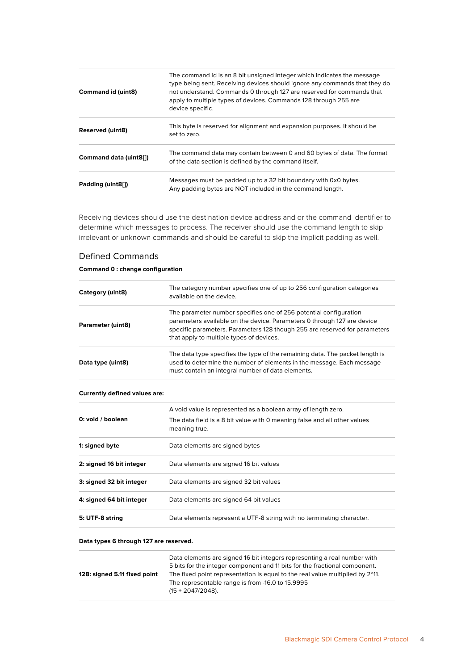<span id="page-3-0"></span>

| <b>Command id (uint8)</b> | The command id is an 8 bit unsigned integer which indicates the message<br>type being sent. Receiving devices should ignore any commands that they do<br>not understand. Commands 0 through 127 are reserved for commands that<br>apply to multiple types of devices. Commands 128 through 255 are<br>device specific. |
|---------------------------|------------------------------------------------------------------------------------------------------------------------------------------------------------------------------------------------------------------------------------------------------------------------------------------------------------------------|
| <b>Reserved (uint8)</b>   | This byte is reserved for alignment and expansion purposes. It should be<br>set to zero.                                                                                                                                                                                                                               |
| Command data (uint8[])    | The command data may contain between 0 and 60 bytes of data. The format<br>of the data section is defined by the command itself.                                                                                                                                                                                       |
| Padding (uint8[1])        | Messages must be padded up to a 32 bit boundary with 0x0 bytes.<br>Any padding bytes are NOT included in the command length.                                                                                                                                                                                           |

Receiving devices should use the destination device address and or the command identifier to determine which messages to process. The receiver should use the command length to skip irrelevant or unknown commands and should be careful to skip the implicit padding as well.

### Defined Commands

### **Command 0 : change configuration**

| Category (uint8)  | The category number specifies one of up to 256 configuration categories<br>available on the device.                                                                                                                                                                    |
|-------------------|------------------------------------------------------------------------------------------------------------------------------------------------------------------------------------------------------------------------------------------------------------------------|
| Parameter (uint8) | The parameter number specifies one of 256 potential configuration<br>parameters available on the device. Parameters 0 through 127 are device<br>specific parameters. Parameters 128 though 255 are reserved for parameters<br>that apply to multiple types of devices. |
| Data type (uint8) | The data type specifies the type of the remaining data. The packet length is<br>used to determine the number of elements in the message. Each message<br>must contain an integral number of data elements.                                                             |

#### **Currently defined values are:**

| 0: void / boolean        | A void value is represented as a boolean array of length zero.<br>The data field is a 8 bit value with 0 meaning false and all other values<br>meaning true. |
|--------------------------|--------------------------------------------------------------------------------------------------------------------------------------------------------------|
| 1: signed byte           | Data elements are signed bytes                                                                                                                               |
| 2: signed 16 bit integer | Data elements are signed 16 bit values                                                                                                                       |
| 3: signed 32 bit integer | Data elements are signed 32 bit values                                                                                                                       |
| 4: signed 64 bit integer | Data elements are signed 64 bit values                                                                                                                       |
| 5: UTF-8 string          | Data elements represent a UTF-8 string with no terminating character.                                                                                        |

#### **Data types 6 through 127 are reserved.**

| Data elements are signed 16 bit integers representing a real number with      |
|-------------------------------------------------------------------------------|
| 5 bits for the integer component and 11 bits for the fractional component.    |
| The fixed point representation is equal to the real value multiplied by 2^11. |
| The representable range is from -16.0 to 15.9995                              |
| $(15 + 2047/2048)$ .                                                          |
|                                                                               |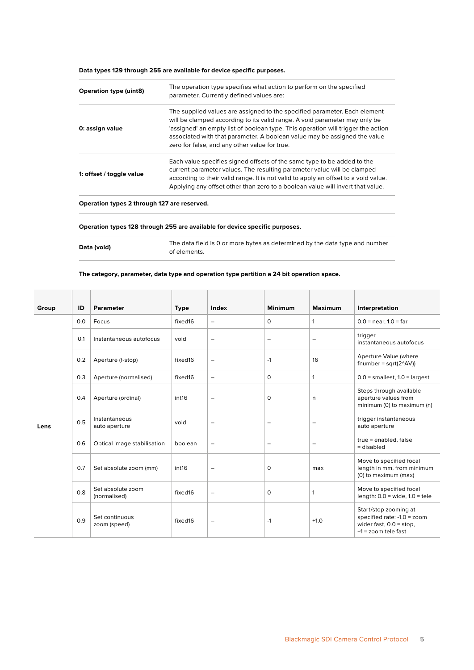**Data types 129 through 255 are available for device specific purposes.**

| <b>Operation type (uint8)</b> | The operation type specifies what action to perform on the specified<br>parameter. Currently defined values are:                                                                                                                                                                                                                                                          |
|-------------------------------|---------------------------------------------------------------------------------------------------------------------------------------------------------------------------------------------------------------------------------------------------------------------------------------------------------------------------------------------------------------------------|
| 0: assign value               | The supplied values are assigned to the specified parameter. Each element<br>will be clamped according to its valid range. A void parameter may only be<br>'assigned' an empty list of boolean type. This operation will trigger the action<br>associated with that parameter. A boolean value may be assigned the value<br>zero for false, and any other value for true. |
| 1: offset / toggle value      | Each value specifies signed offsets of the same type to be added to the<br>current parameter values. The resulting parameter value will be clamped<br>according to their valid range. It is not valid to apply an offset to a void value.<br>Applying any offset other than zero to a boolean value will invert that value.                                               |

**Operation types 2 through 127 are reserved.**

#### **Operation types 128 through 255 are available for device specific purposes.**

|             | The data field is 0 or more bytes as determined by the data type and number |
|-------------|-----------------------------------------------------------------------------|
| Data (void) | of elements.                                                                |

#### **The category, parameter, data type and operation type partition a 24 bit operation space.**

| Group | ID  | <b>Parameter</b>                  | <b>Type</b> | Index                    | <b>Minimum</b>           | <b>Maximum</b>           | Interpretation                                                                                              |
|-------|-----|-----------------------------------|-------------|--------------------------|--------------------------|--------------------------|-------------------------------------------------------------------------------------------------------------|
|       | 0.0 | Focus                             | fixed16     | $\overline{\phantom{m}}$ | $\Omega$                 | $\mathbf{1}$             | $0.0 =$ near, $1.0 =$ far                                                                                   |
|       | O.1 | Instantaneous autofocus           | void        | $\overline{\phantom{0}}$ | $\overline{\phantom{0}}$ | $\overline{\phantom{m}}$ | trigger<br>instantaneous autofocus                                                                          |
|       | 0.2 | Aperture (f-stop)                 | fixed16     | $\qquad \qquad -$        | $-1$                     | 16                       | Aperture Value (where<br>fnumber = $sqrt(2^{\wedge}AV))$                                                    |
|       | 0.3 | Aperture (normalised)             | fixed16     | $\qquad \qquad -$        | $\mathbf 0$              | $\mathbf{1}$             | $0.0$ = smallest, $1.0$ = largest                                                                           |
| Lens  | 0.4 | Aperture (ordinal)                | int16       | $\overline{\phantom{0}}$ | $\mathbf 0$              | n                        | Steps through available<br>aperture values from<br>minimum (0) to maximum (n)                               |
|       | 0.5 | Instantaneous<br>auto aperture    | void        | $\overline{\phantom{0}}$ | -                        | $\overline{\phantom{0}}$ | trigger instantaneous<br>auto aperture                                                                      |
|       | 0.6 | Optical image stabilisation       | boolean     | $\overline{\phantom{0}}$ | $\overline{\phantom{0}}$ | $\overline{\phantom{m}}$ | true = enabled, false<br>= disabled                                                                         |
|       | 0.7 | Set absolute zoom (mm)            | int16       | $\overline{\phantom{m}}$ | $\circ$                  | max                      | Move to specified focal<br>length in mm, from minimum<br>(0) to maximum (max)                               |
|       | 0.8 | Set absolute zoom<br>(normalised) | fixed16     | $\overline{\phantom{0}}$ | $\mathbf 0$              | $\mathbf{1}$             | Move to specified focal<br>length: $0.0$ = wide, $1.0$ = tele                                               |
|       | 0.9 | Set continuous<br>zoom (speed)    | fixed16     | $\overline{\phantom{m}}$ | $-1$                     | $+1.0$                   | Start/stop zooming at<br>specified rate: -1.0 = zoom<br>wider fast, $0.0 = stop$ ,<br>$+1$ = zoom tele fast |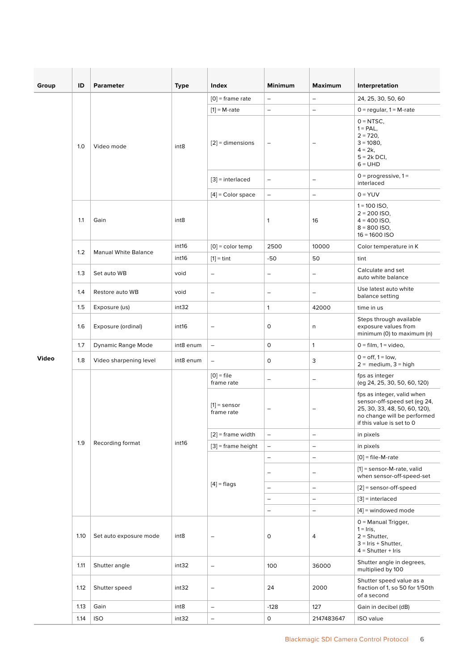| Group | ID   | <b>Parameter</b>            | <b>Type</b>      | Index                        | <b>Minimum</b>           | <b>Maximum</b>           | Interpretation                                                                                                                                          |
|-------|------|-----------------------------|------------------|------------------------------|--------------------------|--------------------------|---------------------------------------------------------------------------------------------------------------------------------------------------------|
|       | 1.0  | Video mode                  | int8             | $[0]$ = frame rate           | $\qquad \qquad -$        | $\qquad \qquad -$        | 24, 25, 30, 50, 60                                                                                                                                      |
|       |      |                             |                  | $[1] = M$ -rate              | $\qquad \qquad -$        | $\qquad \qquad -$        | $0 =$ regular, $1 = M$ -rate                                                                                                                            |
|       |      |                             |                  | $[2]$ = dimensions           | $\qquad \qquad -$        | $\overline{\phantom{m}}$ | $0 = NTSC$ ,<br>$1 = PAL$ ,<br>$2 = 720$ ,<br>$3 = 1080$ ,<br>$4 = 2k,$<br>$5 = 2k$ DCI,<br>$6 = UHD$                                                   |
|       |      |                             |                  | $[3]$ = interlaced           | $\qquad \qquad -$        | $\overline{\phantom{a}}$ | $0 =$ progressive, $1 =$<br>interlaced                                                                                                                  |
|       |      |                             |                  | $[4]$ = Color space          | $\qquad \qquad -$        | $\qquad \qquad -$        | $0 = YUV$                                                                                                                                               |
|       | 1.1  | Gain                        | int <sub>8</sub> |                              | $\mathbf{1}$             | 16                       | $1 = 100$ ISO,<br>$2 = 200$ ISO,<br>$4 = 400$ ISO,<br>$8 = 800$ ISO,<br>$16 = 1600$ ISO                                                                 |
|       | 1.2  | <b>Manual White Balance</b> | int16            | $[0]$ = color temp           | 2500                     | 10000                    | Color temperature in K                                                                                                                                  |
|       |      |                             | int16            | $[1] = \text{tint}$          | $-50$                    | 50                       | tint                                                                                                                                                    |
|       | 1.3  | Set auto WB                 | void             | $\qquad \qquad -$            | $\overline{\phantom{a}}$ | $\overline{\phantom{a}}$ | Calculate and set<br>auto white balance                                                                                                                 |
|       | 1.4  | Restore auto WB             | void             | $\qquad \qquad -$            | $\overline{\phantom{a}}$ | $\overline{\phantom{a}}$ | Use latest auto white<br>balance setting                                                                                                                |
|       | 1.5  | Exposure (us)               | int32            |                              | $\mathbf{1}$             | 42000                    | time in us                                                                                                                                              |
|       | 1.6  | Exposure (ordinal)          | int16            | -                            | 0                        | $\sf n$                  | Steps through available<br>exposure values from<br>minimum (0) to maximum (n)                                                                           |
|       | 1.7  | Dynamic Range Mode          | int8 enum        | $\overline{\phantom{0}}$     | $\mathsf{O}$             | $\mathbf{1}$             | $0 = film, 1 = video,$                                                                                                                                  |
| Video | 1.8  | Video sharpening level      | int8 enum        | $\qquad \qquad -$            | 0                        | 3                        | $0 = \text{off}, 1 = \text{low},$<br>$2 = \text{medium}, 3 = \text{high}$                                                                               |
|       |      |                             |                  | $[0]$ = file<br>frame rate   | $\qquad \qquad -$        | $\overline{\phantom{0}}$ | fps as integer<br>(eg 24, 25, 30, 50, 60, 120)                                                                                                          |
|       |      |                             |                  | $[1]$ = sensor<br>frame rate | $\qquad \qquad -$        | $\qquad \qquad -$        | fps as integer, valid when<br>sensor-off-speed set (eg 24,<br>25, 30, 33, 48, 50, 60, 120),<br>no change will be performed<br>if this value is set to 0 |
|       |      |                             |                  | $[2]$ = frame width          | $\overline{\phantom{a}}$ | $\qquad \qquad -$        | in pixels                                                                                                                                               |
|       | 1.9  | Recording format            | int16            | $[3]$ = frame height         | $\overline{\phantom{a}}$ | $\qquad \qquad -$        | in pixels                                                                                                                                               |
|       |      |                             |                  |                              | $\qquad \qquad -$        | $\qquad \qquad -$        | $[0]$ = file-M-rate                                                                                                                                     |
|       |      |                             |                  |                              | $\qquad \qquad -$        | $\overline{\phantom{m}}$ | $[1]$ = sensor-M-rate, valid<br>when sensor-off-speed-set                                                                                               |
|       |      |                             |                  | $[4]$ = flags                | $\qquad \qquad -$        | $\overline{\phantom{a}}$ | $[2]$ = sensor-off-speed                                                                                                                                |
|       |      |                             |                  |                              | $\qquad \qquad -$        | $\overline{\phantom{0}}$ | $[3]$ = interlaced                                                                                                                                      |
|       |      |                             |                  |                              | $\qquad \qquad -$        | $\qquad \qquad -$        | $[4]$ = windowed mode                                                                                                                                   |
|       | 1.10 | Set auto exposure mode      | int <sub>8</sub> | -                            | 0                        | 4                        | $0 =$ Manual Trigger,<br>$1 =$ Iris,<br>$2 =$ Shutter,<br>$3 =$ Iris + Shutter,<br>$4 =$ Shutter + Iris                                                 |
|       | 1.11 | Shutter angle               | int32            | $\qquad \qquad -$            | 100                      | 36000                    | Shutter angle in degrees,<br>multiplied by 100                                                                                                          |
|       | 1.12 | Shutter speed               | int32            | -                            | 24                       | 2000                     | Shutter speed value as a<br>fraction of 1, so 50 for 1/50th<br>of a second                                                                              |
|       | 1.13 | Gain                        | int8             | -                            | $-128$                   | 127                      | Gain in decibel (dB)                                                                                                                                    |
|       | 1.14 | <b>ISO</b>                  | int32            | $\qquad \qquad -$            | 0                        | 2147483647               | ISO value                                                                                                                                               |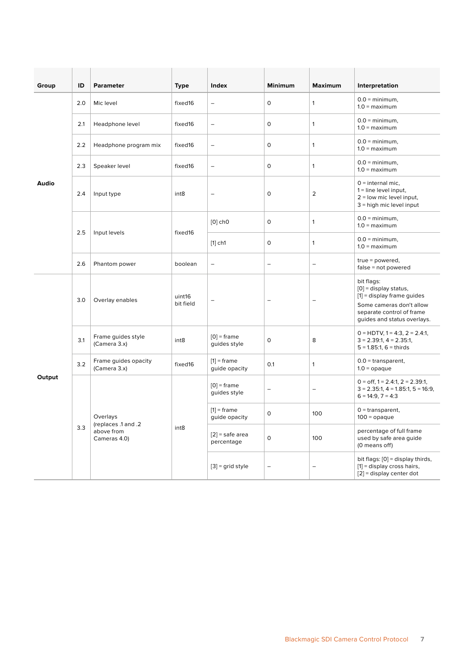| Group  | ID  | <b>Parameter</b>                                              | Type                | Index                           | <b>Minimum</b>           | <b>Maximum</b>           | Interpretation                                                                                                                                                |
|--------|-----|---------------------------------------------------------------|---------------------|---------------------------------|--------------------------|--------------------------|---------------------------------------------------------------------------------------------------------------------------------------------------------------|
|        | 2.0 | Mic level                                                     | fixed16             | $\overline{\phantom{a}}$        | $\circ$                  | $\mathbf{1}$             | $0.0 = \text{minimum}$ ,<br>$1.0 =$ maximum                                                                                                                   |
|        | 2.1 | Headphone level                                               | fixed16             | $\qquad \qquad -$               | $\mathsf O$              | $\mathbf{1}$             | $0.0 = \text{minimum}$ ,<br>$1.0 =$ maximum                                                                                                                   |
|        | 2.2 | Headphone program mix                                         | fixed16             | $\overline{\phantom{0}}$        | 0                        | $\mathbf{1}$             | $0.0 = \text{minimum}$ ,<br>$1.0 =$ maximum                                                                                                                   |
|        | 2.3 | Speaker level                                                 | fixed16             | $\equiv$                        | 0                        | $\mathbf{1}$             | $0.0 = \text{minimum}$ ,<br>$1.0 =$ maximum                                                                                                                   |
| Audio  | 2.4 | Input type                                                    | int8                | $\qquad \qquad -$               | 0                        | $\overline{2}$           | $0 =$ internal mic,<br>$1 =$ line level input,<br>$2 =$ low mic level input,<br>$3$ = high mic level input                                                    |
|        | 2.5 |                                                               |                     | $[0]$ ch <sub>0</sub>           | $\circ$                  | $\mathbf{1}$             | $0.0 = \text{minimum}$ ,<br>$1.0 =$ maximum                                                                                                                   |
|        |     | Input levels                                                  | fixed16             | $[1]$ ch1                       | 0                        | $\mathbf{1}$             | $0.0 = \text{minimum}$ ,<br>$1.0 =$ maximum                                                                                                                   |
|        | 2.6 | Phantom power                                                 | boolean             | $\overline{\phantom{a}}$        | $\qquad \qquad -$        | $\qquad \qquad -$        | $true = powered,$<br>$false = not powered$                                                                                                                    |
|        | 3.0 | Overlay enables                                               | uint16<br>bit field |                                 |                          | $\overline{\phantom{0}}$ | bit flags:<br>$[0]$ = display status,<br>$[1]$ = display frame guides<br>Some cameras don't allow<br>separate control of frame<br>guides and status overlays. |
|        | 3.1 | Frame guides style<br>(Camera 3.x)                            | int <sub>8</sub>    | $[0]$ = frame<br>guides style   | $\mathsf O$              | 8                        | $0 = HDTV$ , $1 = 4:3$ , $2 = 2.4:1$ ,<br>$3 = 2.39:1, 4 = 2.35:1,$<br>$5 = 1.85:1, 6 = 1$ thirds                                                             |
| Output | 3.2 | Frame guides opacity<br>(Camera 3.x)                          | fixed16             | $[1]$ = frame<br>guide opacity  | 0.1                      | $\mathbf{1}$             | $0.0 =$ transparent,<br>$1.0 =$ opaque                                                                                                                        |
|        | 3.3 | Overlays<br>(replaces .1 and .2<br>above from<br>Cameras 4.0) | int <sub>8</sub>    | $[0]$ = frame<br>guides style   | -                        | $\overline{\phantom{0}}$ | $0 =$ off, $1 = 2.4:1$ , $2 = 2.39:1$ ,<br>$3 = 2.35:1, 4 = 1.85:1, 5 = 16:9,$<br>$6 = 14:9, 7 = 4:3$                                                         |
|        |     |                                                               |                     | $[1]$ = frame<br>guide opacity  | 0                        | 100                      | $0 =$ transparent,<br>$100 =$ opaque                                                                                                                          |
|        |     |                                                               |                     | $[2]$ = safe area<br>percentage | $\Omega$                 | 100                      | percentage of full frame<br>used by safe area guide<br>(0 means off)                                                                                          |
|        |     |                                                               |                     | $[3]$ = grid style              | $\overline{\phantom{0}}$ | $\overline{\phantom{0}}$ | bit flags: [0] = display thirds,<br>$[1]$ = display cross hairs,<br>$[2]$ = display center dot                                                                |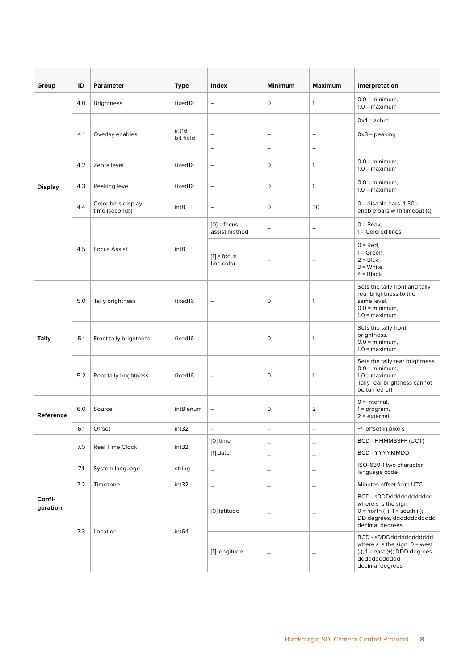| Group              | ID  | <b>Parameter</b>                     | <b>Type</b>        | Index                          | <b>Minimum</b>           | <b>Maximum</b>           | Interpretation                                                                                                                       |
|--------------------|-----|--------------------------------------|--------------------|--------------------------------|--------------------------|--------------------------|--------------------------------------------------------------------------------------------------------------------------------------|
|                    | 4.0 | <b>Brightness</b>                    | fixed16            | $\qquad \qquad -$              | 0                        | $\mathbf{1}$             | $0.0 = \text{minimum}$ ,<br>$1.0 =$ maximum                                                                                          |
|                    |     |                                      |                    | $\qquad \qquad -$              | $\overline{\phantom{a}}$ | $\qquad \qquad -$        | $0x4 = zebra$                                                                                                                        |
|                    | 4.1 | Overlay enables                      | int16<br>bit field | $\overline{\phantom{0}}$       | $\overline{\phantom{m}}$ | $\overline{\phantom{a}}$ | $0x8 =$ peaking                                                                                                                      |
|                    |     |                                      |                    | -                              | $\qquad \qquad -$        | $\qquad \qquad -$        |                                                                                                                                      |
|                    | 4.2 | Zebra level                          | fixed16            | $\qquad \qquad -$              | 0                        | $\mathbf{1}$             | $0.0 = \text{minimum}$ ,<br>$1.0 =$ maximum                                                                                          |
| <b>Display</b>     | 4.3 | Peaking level                        | fixed16            | $\qquad \qquad -$              | 0                        | 1                        | $0.0 = \text{minimum}$ ,<br>$1.0 =$ maximum                                                                                          |
|                    | 4.4 | Color bars display<br>time (seconds) | int8               | $\equiv$                       | 0                        | 30                       | $0 =$ disable bars, 1-30 =<br>enable bars with timeout (s)                                                                           |
|                    |     |                                      |                    | $[0]$ = focus<br>assist method | $\qquad \qquad -$        | $\qquad \qquad -$        | $0 = Peak$ .<br>1 = Colored lines                                                                                                    |
|                    | 4.5 | <b>Focus Assist</b>                  | int8               | $[1]$ = focus<br>line color    |                          | $\overline{\phantom{0}}$ | $0 = Red$ ,<br>$1 = Green$ ,<br>$2 =$ Blue,<br>$3$ = White,<br>$4 = Black$                                                           |
|                    | 5.0 | Tally brightness                     | fixed16            | $\qquad \qquad -$              | 0                        | 1                        | Sets the tally front and tally<br>rear brightness to the<br>same level.<br>$0.0 = \text{minimum}$ ,<br>$1.0 =$ maximum               |
| <b>Tally</b>       | 5.1 | Front tally brightness               | fixed16            | $\qquad \qquad -$              | 0                        | 1                        | Sets the tally front<br>brightness.<br>$0.0 = \text{minimum}$ ,<br>$1.0 =$ maximum                                                   |
|                    | 5.2 | Rear tally brightness                | fixed16            | $\overline{\phantom{m}}$       | 0                        | 1                        | Sets the tally rear brightness.<br>$0.0 = \text{minimum}$ ,<br>$1.0 =$ maximum<br>Tally rear brightness cannot<br>be turned off      |
| <b>Reference</b>   | 6.0 | Source                               | int8 enum          | $\qquad \qquad -$              | 0                        | 2                        | $0 =$ internal,<br>$1 = program,$<br>$2 =$ external                                                                                  |
|                    | 6.1 | Offset                               | int32              | $\equiv$                       | $\qquad \qquad -$        | $\qquad \qquad -$        | +/- offset in pixels                                                                                                                 |
|                    | 7.0 |                                      |                    | [0] time                       | $\overline{\phantom{0}}$ | $\overline{\phantom{m}}$ | BCD - HHMMSSFF (UCT)                                                                                                                 |
|                    |     | Real Time Clock                      | int32              | $[1]$ date                     | $\qquad \qquad -$        | $\overline{\phantom{0}}$ | BCD - YYYYMMDD                                                                                                                       |
| Confi-<br>guration | 7.1 | System language                      | string             | $\qquad \qquad -$              | $\overline{\phantom{0}}$ | $\qquad \qquad -$        | ISO-639-1 two character<br>language code                                                                                             |
|                    | 7.2 | Timezone                             | int32              | $\overline{\phantom{0}}$       | $\qquad \qquad -$        | $\overline{\phantom{0}}$ | Minutes offset from UTC                                                                                                              |
|                    | 7.3 | Location                             | int <sub>64</sub>  | [0] latitude                   | $\overline{\phantom{0}}$ | $\qquad \qquad -$        | BCD - s0DDdddddddddddd<br>where s is the sign:<br>$0 =$ north (+), $1 =$ south (-);<br>DD degrees, dddddddddddd<br>decimal degrees   |
|                    |     |                                      |                    | [1] longitude                  | $\overline{\phantom{0}}$ |                          | BCD - sDDDdddddddddddd<br>where s is the sign: $0 = west$<br>$(-)$ , 1 = east $(+)$ ; DDD degrees,<br>ddddddddddd<br>decimal degrees |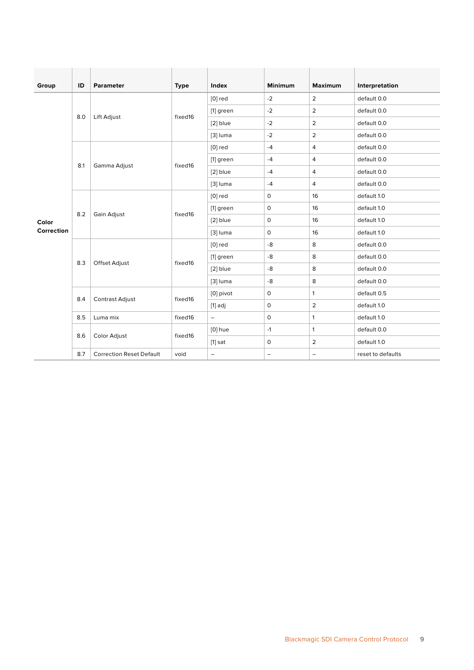| Group      | ID  | <b>Parameter</b>                | <b>Type</b> | Index                    | <b>Minimum</b>           | <b>Maximum</b>    | Interpretation    |
|------------|-----|---------------------------------|-------------|--------------------------|--------------------------|-------------------|-------------------|
|            |     |                                 |             | $[0]$ red                | $-2$                     | $\overline{2}$    | default 0.0       |
|            |     |                                 |             | [1] green                | $-2$                     | $\overline{2}$    | default 0.0       |
|            | 8.0 | Lift Adjust                     | fixed16     | [2] blue                 | $-2$                     | $\overline{2}$    | default 0.0       |
|            |     |                                 |             | $[3]$ luma               | $-2$                     | $\overline{2}$    | default 0.0       |
|            |     |                                 |             | $[0]$ red                | $-4$                     | $\overline{4}$    | default 0.0       |
|            |     |                                 |             | [1] green                | $-4$                     | 4                 | default 0.0       |
|            | 8.1 | Gamma Adjust                    | fixed16     | [2] blue                 | $-4$                     | 4                 | default 0.0       |
|            |     |                                 |             | $[3]$ luma               | $-4$                     | $\overline{4}$    | default 0.0       |
|            | 8.2 | Gain Adjust                     | fixed16     | $[0]$ red                | $\mathsf{O}$             | 16                | default 1.0       |
|            |     |                                 |             | [1] green                | $\mathsf O$              | 16                | default 1.0       |
| Color      |     |                                 |             | [2] blue                 | $\mathsf{O}\xspace$      | 16                | default 1.0       |
| Correction |     |                                 |             | $[3]$ luma               | $\mathsf{O}$             | 16                | default 1.0       |
|            |     | Offset Adjust                   | fixed16     | $[0]$ red                | -8                       | 8                 | default 0.0       |
|            | 8.3 |                                 |             | [1] green                | -8                       | 8                 | default 0.0       |
|            |     |                                 |             | $[2]$ blue               | -8                       | 8                 | default 0.0       |
|            |     |                                 |             | $[3]$ luma               | -8                       | 8                 | default 0.0       |
|            | 8.4 | Contrast Adjust                 | fixed16     | [0] pivot                | $\mathsf{O}\xspace$      | $\mathbf{1}$      | default 0.5       |
|            |     |                                 |             | $[1]$ adj                | $\mathsf O$              | 2                 | default 1.0       |
|            | 8.5 | Luma mix                        | fixed16     | $\overline{\phantom{m}}$ | $\mathsf O$              | $\mathbf{1}$      | default 1.0       |
|            |     |                                 |             | $[0]$ hue                | $-1$                     | $\mathbf{1}$      | default 0.0       |
|            | 8.6 | Color Adjust                    | fixed16     | $[1]$ sat                | $\mathsf O$              | $\overline{2}$    | default 1.0       |
|            | 8.7 | <b>Correction Reset Default</b> | void        | $\overline{\phantom{a}}$ | $\overline{\phantom{a}}$ | $\qquad \qquad -$ | reset to defaults |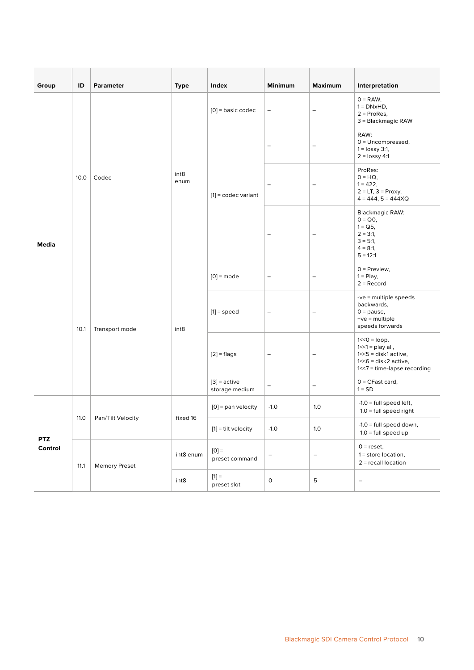| Group                 | ID   | <b>Parameter</b>     | <b>Type</b>              | Index                            | <b>Minimum</b>           | <b>Maximum</b>           | Interpretation                                                                                                               |
|-----------------------|------|----------------------|--------------------------|----------------------------------|--------------------------|--------------------------|------------------------------------------------------------------------------------------------------------------------------|
|                       |      |                      |                          | $[0]$ = basic codec              | $\qquad \qquad -$        | $\overline{\phantom{0}}$ | $0 = RAW,$<br>$1 = DNxHD$ ,<br>$2 = ProRes$ ,<br>3 = Blackmagic RAW                                                          |
|                       |      |                      |                          | $[1]$ = codec variant            | -                        | $\qquad \qquad -$        | RAW:<br>$0 =$ Uncompressed,<br>$1 =$ lossy 3:1,<br>$2 =$ lossy 4:1                                                           |
| <b>Media</b>          | 10.0 | Codec                | int <sub>8</sub><br>enum |                                  | -                        | $\overline{\phantom{a}}$ | ProRes:<br>$0 = HQ$ ,<br>$1 = 422$ ,<br>$2 = LT$ , $3 = Proxy$ ,<br>$4 = 444$ , $5 = 444XQ$                                  |
|                       |      |                      |                          |                                  | -                        | $\qquad \qquad -$        | <b>Blackmagic RAW:</b><br>$0 = Q_0$ ,<br>$1 = Q5$ ,<br>$2 = 3:1$<br>$3 = 5:1$<br>$4 = 8:1$ ,<br>$5 = 12:1$                   |
|                       | 10.1 | Transport mode       | int <sub>8</sub>         | $[0]$ = mode                     | $\overline{\phantom{0}}$ | $\overline{\phantom{0}}$ | $0$ = Preview,<br>$1 =$ Play,<br>$2 =$ Record                                                                                |
|                       |      |                      |                          | $[1]$ = speed                    | -                        | $\qquad \qquad -$        | $-ve =$ multiple speeds<br>backwards,<br>$0 =$ pause,<br>$+ve = multiple$<br>speeds forwards                                 |
|                       |      |                      |                          | $[2]$ = flags                    | -                        | $\qquad \qquad -$        | $1 < 0 = loop$ ,<br>$1 < 1$ = play all,<br>$1 < 5$ = disk1 active,<br>$1 < 6$ = disk2 active,<br>1<<7 = time-lapse recording |
|                       |      |                      |                          | $[3]$ = active<br>storage medium | $\overline{\phantom{0}}$ | -                        | $0 = C$ Fast card,<br>$1 = SD$                                                                                               |
|                       |      |                      |                          | $[0]$ = pan velocity             | $-1.0$                   | 1.0                      | $-1.0$ = full speed left,<br>$1.0$ = full speed right                                                                        |
|                       | 11.0 | Pan/Tilt Velocity    | fixed 16                 | $[1]$ = tilt velocity            | $-1.0$                   | $1.0\,$                  | $-1.0$ = full speed down,<br>$1.0 = full speed up$                                                                           |
| <b>PTZ</b><br>Control | 11.1 | <b>Memory Preset</b> | int8 enum                | $[0] =$<br>preset command        | $\qquad \qquad -$        | $\overline{\phantom{a}}$ | $0 = reset,$<br>$1 = store location,$<br>$2 =$ recall location                                                               |
|                       |      |                      | int8                     | $[1] =$<br>preset slot           | $\mathsf O$              | 5                        | $\overline{\phantom{a}}$                                                                                                     |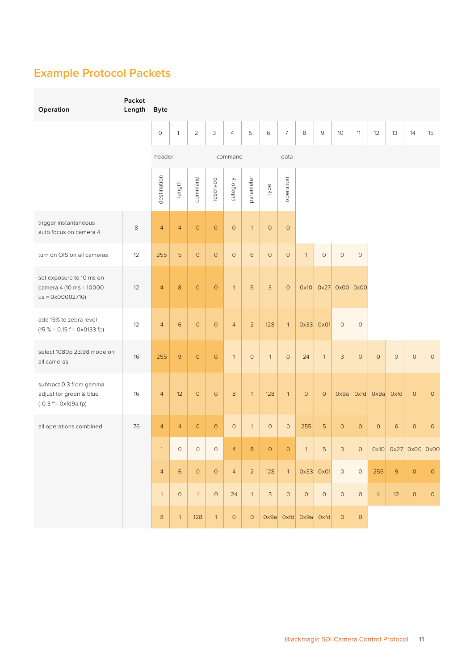# <span id="page-10-0"></span>**Example Protocol Packets**

| Operation                                                                               | Packet<br>Length | <b>Byte</b>         |                |                     |                |                     |                |                |                |                                       |               |                |                         |                |             |                     |                     |
|-----------------------------------------------------------------------------------------|------------------|---------------------|----------------|---------------------|----------------|---------------------|----------------|----------------|----------------|---------------------------------------|---------------|----------------|-------------------------|----------------|-------------|---------------------|---------------------|
|                                                                                         |                  | $\mathsf{O}\xspace$ | $\mathbf{1}$   | $\overline{2}$      | 3              | $\overline{4}$      | 5              | $\,$ 6         | $\overline{7}$ | $\,8\,$                               | $\mathsf 9$   | 10             | 11                      | 12             | 13          | 14                  | 15                  |
|                                                                                         |                  |                     | header         |                     | command        |                     |                | data           |                |                                       |               |                |                         |                |             |                     |                     |
|                                                                                         |                  | destination         | length         | command             | reserved       | category            | parameter      | type           | operation      |                                       |               |                |                         |                |             |                     |                     |
| trigger instantaneous<br>auto focus on camera 4                                         | 8                | $\overline{a}$      | $\overline{4}$ | $\mathsf{O}$        | $\overline{0}$ | $\mathsf{O}\xspace$ | $\overline{1}$ | $\circ$        | $\circ$        |                                       |               |                |                         |                |             |                     |                     |
| turn on OIS on all cameras                                                              | 12               | 255                 | 5              | $\circ$             | $\circ$        | $\mathsf{O}$        | $\,$ 6         | $\circ$        | $\circ$        | $\mathbf{1}$                          | $\circ$       | $\mathbf 0$    | $\circ$                 |                |             |                     |                     |
| set exposure to 10 ms on<br>camera 4 (10 ms = 10000<br>$us = 0 \times 00002710$         | 12               | $\overline{4}$      | 8              | $\mathsf{O}$        | $\circ$        | $\mathbf{1}$        | $\overline{5}$ | 3              | $\circ$        | 0x10                                  |               | 0x27 0x00 0x00 |                         |                |             |                     |                     |
| add 15% to zebra level<br>$(15 % = 0.15 f = 0 x 0133 fp)$                               | 12               | $\overline{4}$      | $6\phantom{a}$ | $\mathsf{O}\xspace$ | $\circ$        | $\overline{4}$      | $\mathbf{2}$   | 128            | $\overline{1}$ |                                       | $0x33$ $0x01$ | $\circ$        | $\circ$                 |                |             |                     |                     |
| select 1080p 23.98 mode on<br>all cameras                                               | 16               | 255                 | $\mathsf{S}$   | $\circ$             | $\circ$        | $\mathbf{1}$        | $\circ$        | $\overline{1}$ | $\circ$        | 24                                    | $\mathbf{1}$  | $\mathsf 3$    | $\circ$                 | $\circ$        | $\circ$     | $\circ$             | $\circ$             |
| subtract 0.3 from gamma<br>adjust for green & blue<br>$(-0.3 \sim = 0 \times f d9a$ fp) | 16               | $\overline{4}$      | 12             | $\mathsf{O}\xspace$ | $\circ$        | $\,8\,$             | $\mathbf{1}$   | 128            | $\mathbf{1}$   | $\circ$                               | $\circ$       |                | $Ox9a$ Oxfd $Ox9a$ Oxfd |                |             | $\circ$             | $\circ$             |
| all operations combined                                                                 | 76               | $\overline{4}$      | $\overline{4}$ | $\mathsf O$         | $\circ$        | $\mathsf O$         | $\mathbf{1}$   | $\circ$        | $\circ$        | 255                                   | 5             | $\circ$        | $\circ$                 | $\circ$        | 6           | $\circ$             | $\circ$             |
|                                                                                         |                  | $\mathbf{1}$        | $\circ$        | $\mathsf O$         | $\circ$        | 4                   | 8              | $\circ$        | $\circ$        |                                       | 5             | 3              | $\circ$                 |                |             | 0x10 0x27 0x00 0x00 |                     |
|                                                                                         |                  | $\overline{4}$      | $\,$ 6 $\,$    | $\circ$             | $\circ$        | $\overline{4}$      | $\overline{2}$ | 128            |                | $1 \mid 0 \times 33 \mid 0 \times 01$ |               | $\overline{0}$ | $\circ$                 | 255            | $\mathsf 9$ | $\circ$             | $\mathsf{O}\xspace$ |
|                                                                                         |                  | $\overline{1}$      | $\circ$        | $\overline{1}$      | $\circ$        | 24                  | $\overline{1}$ | $\mathbf{3}$   | $\circ$        | $\circ$                               | $\circ$       | $\circ$        | $\circ$                 | $\overline{4}$ | $12$        | $\mathsf O$         | $\circ$             |
|                                                                                         |                  | $8\phantom{1}$      | $\mathbf{1}$   | 128                 | $\mathbf{1}$   | $\mathsf{O}$        | $\circ$        |                |                | Ox9a Oxfd Ox9a Oxfd                   |               | $\overline{0}$ | $\circ$                 |                |             |                     |                     |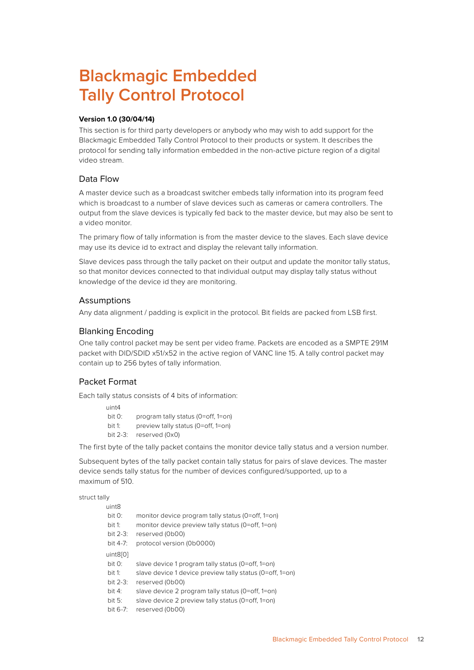# <span id="page-11-0"></span>**Blackmagic Embedded Tally Control Protocol**

### **Version 1.0 (30/04/14)**

This section is for third party developers or anybody who may wish to add support for the Blackmagic Embedded Tally Control Protocol to their products or system. It describes the protocol for sending tally information embedded in the non-active picture region of a digital video stream.

# Data Flow

A master device such as a broadcast switcher embeds tally information into its program feed which is broadcast to a number of slave devices such as cameras or camera controllers. The output from the slave devices is typically fed back to the master device, but may also be sent to a video monitor.

The primary flow of tally information is from the master device to the slaves. Each slave device may use its device id to extract and display the relevant tally information.

Slave devices pass through the tally packet on their output and update the monitor tally status, so that monitor devices connected to that individual output may display tally status without knowledge of the device id they are monitoring.

# **Assumptions**

Any data alignment / padding is explicit in the protocol. Bit fields are packed from LSB first.

# Blanking Encoding

One tally control packet may be sent per video frame. Packets are encoded as a SMPTE 291M packet with DID/SDID x51/x52 in the active region of VANC line 15. A tally control packet may contain up to 256 bytes of tally information.

# Packet Format

Each tally status consists of 4 bits of information:

 $uintA$  bit 0: program tally status (0=off, 1=on) bit 1: preview tally status (0=off, 1=on) bit 2-3: reserved (0x0)

The first byte of the tally packet contains the monitor device tally status and a version number.

Subsequent bytes of the tally packet contain tally status for pairs of slave devices. The master device sends tally status for the number of devices configured/supported, up to a maximum of 510.

struct tally

| uint8       |                                                          |
|-------------|----------------------------------------------------------|
| bit 0:      | monitor device program tally status (0=off, 1=on)        |
| bit 1:      | monitor device preview tally status (0=off, 1=on)        |
| bit $2-3$ : | reserved (0b00)                                          |
| bit 4-7:    | protocol version (0b0000)                                |
| uint8[0]    |                                                          |
| bit 0:      | slave device 1 program tally status (0=off, 1=on)        |
| bit 1:      | slave device 1 device preview tally status (0=off, 1=on) |
| bit $2-3$ : | reserved (0b00)                                          |
| bit 4:      | slave device 2 program tally status (0=off, 1=on)        |
| bit $5:$    | slave device 2 preview tally status (0=off, 1=on)        |
| bit 6-7:    | reserved (0b00)                                          |
|             |                                                          |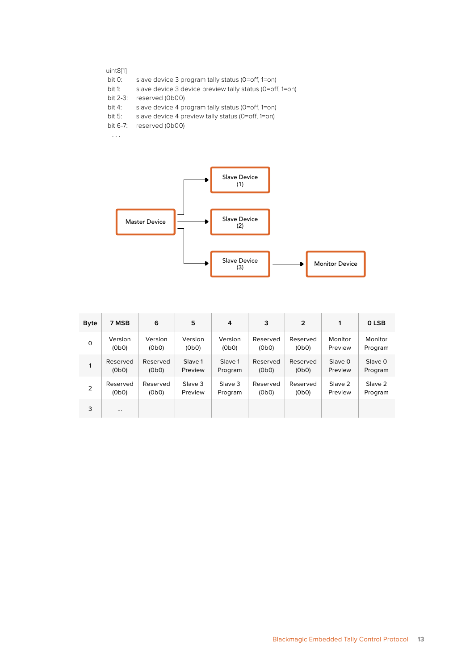#### uint8[1]

- bit 0: slave device 3 program tally status (0=off, 1=on)
- bit 1: slave device 3 device preview tally status (0=off, 1=on)
- 
- bit 2-3: reserved (0b00)<br>bit 4: slave device 4 pr slave device 4 program tally status (0=off, 1=on)
- bit 5: slave device 4 preview tally status (0=off, 1=on)
- bit 6-7: reserved (0b00)

. . .



| <b>Byte</b> | 7 MSB    | 6        | 5       | 4       | 3        | $\overline{2}$ | 1       | 0 LSB   |
|-------------|----------|----------|---------|---------|----------|----------------|---------|---------|
| $\mathbf 0$ | Version  | Version  | Version | Version | Reserved | Reserved       | Monitor | Monitor |
|             | (0b0)    | (0b0)    | (0b0)   | (0b0)   | (0b0)    | (0b0)          | Preview | Program |
| 1           | Reserved | Reserved | Slave 1 | Slave 1 | Reserved | Reserved       | Slave 0 | Slave 0 |
|             | (0b0)    | (0b0)    | Preview | Program | (0b0)    | (0b0)          | Preview | Program |
| 2           | Reserved | Reserved | Slave 3 | Slave 3 | Reserved | Reserved       | Slave 2 | Slave 2 |
|             | (0b0)    | (0b0)    | Preview | Program | (0b0)    | (0b0)          | Preview | Program |
| 3           | $\cdots$ |          |         |         |          |                |         |         |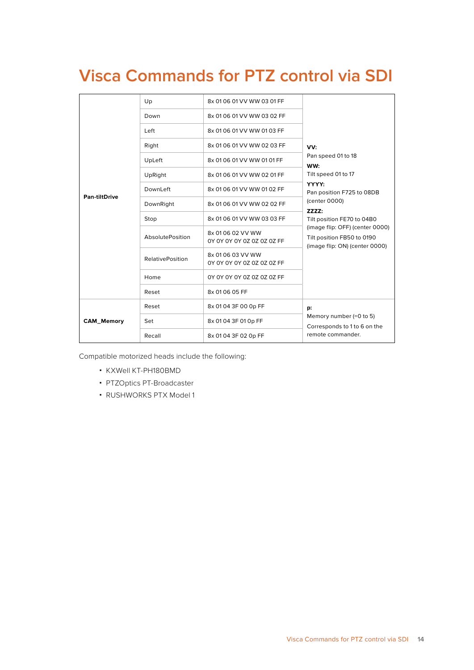# <span id="page-13-0"></span>**Visca Commands for PTZ control via SDI**

|                   | Up                      | 8x 01 06 01 VV WW 03 01 FF                      |                                                                                                 |  |
|-------------------|-------------------------|-------------------------------------------------|-------------------------------------------------------------------------------------------------|--|
|                   | Down                    | 8x 01 06 01 VV WW 03 02 FF                      |                                                                                                 |  |
|                   | Left                    | 8x 01 06 01 VV WW 01 03 FF                      |                                                                                                 |  |
|                   | Right                   | 8x 01 06 01 VV WW 02 03 FF                      | VV:                                                                                             |  |
|                   | UpLeft                  | 8x 01 06 01 VV WW 01 01 FF                      | Pan speed 01 to 18<br>WW:                                                                       |  |
|                   | UpRight                 | 8x 01 06 01 VV WW 02 01 FF                      | Tilt speed 01 to 17                                                                             |  |
|                   | DownLeft                | 8x 01 06 01 VV WW 01 02 FF                      | YYYY:<br>Pan position F725 to 08DB                                                              |  |
| Pan-tiltDrive     | DownRight               | 8x 01 06 01 VV WW 02 02 FF                      | (center 0000)                                                                                   |  |
|                   | Stop                    | 8x 01 06 01 VV WW 03 03 FF                      | ZZZZ:<br>Tilt position FE70 to 04B0                                                             |  |
|                   | AbsolutePosition        | 8x 01 06 02 VV WW<br>0Y 0Y 0Y 0Y 0Z 0Z 0Z 0Z FF | (image flip: OFF) (center 0000)<br>Tilt position FB50 to 0190<br>(image flip: ON) (center 0000) |  |
|                   | <b>RelativePosition</b> | 8x 01 06 03 VV WW<br>0Y 0Y 0Y 0Y 0Z 0Z 0Z 0Z FF |                                                                                                 |  |
|                   | Home                    | 0Y 0Y 0Y 0Y 0Z 0Z 0Z 0Z FF                      |                                                                                                 |  |
|                   | Reset                   | 8x 01 06 05 FF                                  |                                                                                                 |  |
|                   | Reset                   | 8x 01 04 3F 00 0p FF                            | p:                                                                                              |  |
| <b>CAM_Memory</b> | Set                     | 8x 01 04 3F 01 0p FF                            | Memory number (=0 to 5)<br>Corresponds to 1 to 6 on the                                         |  |
|                   | Recall                  | 8x 01 04 3F 02 0p FF                            | remote commander.                                                                               |  |

Compatible motorized heads include the following:

- KXWell KT-PH180BMD
- PTZOptics PT-Broadcaster
- RUSHWORKS PTX Model 1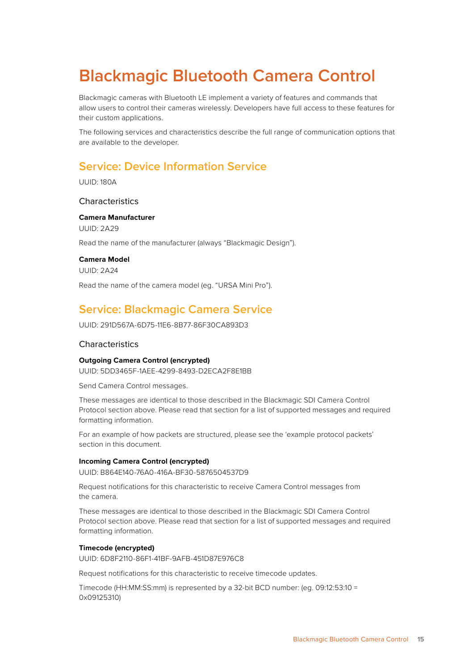# <span id="page-14-0"></span>**Blackmagic Bluetooth Camera Control**

Blackmagic cameras with Bluetooth LE implement a variety of features and commands that allow users to control their cameras wirelessly. Developers have full access to these features for their custom applications.

The following services and characteristics describe the full range of communication options that are available to the developer.

# **Service: Device Information Service**

UUID: 180A

### **Characteristics**

**Camera Manufacturer** UUID: 2A29 Read the name of the manufacturer (always "Blackmagic Design").

### **Camera Model**

UUID: 2A24

Read the name of the camera model (eg. "URSA Mini Pro").

# **Service: Blackmagic Camera Service**

UUID: 291D567A-6D75-11E6-8B77-86F30CA893D3

### **Characteristics**

### **Outgoing Camera Control (encrypted)**

UUID: 5DD3465F-1AEE-4299-8493-D2ECA2F8E1BB

Send Camera Control messages.

These messages are identical to those described in the Blackmagic SDI Camera Control Protocol section above. Please read that section for a list of supported messages and required formatting information.

For an example of how packets are structured, please see the 'example protocol packets' section in this document.

#### **Incoming Camera Control (encrypted)**

UUID: B864E140-76A0-416A-BF30-5876504537D9

Request notifications for this characteristic to receive Camera Control messages from the camera.

These messages are identical to those described in the Blackmagic SDI Camera Control Protocol section above. Please read that section for a list of supported messages and required formatting information.

#### **Timecode (encrypted)**

UUID: 6D8F2110-86F1-41BF-9AFB-451D87E976C8

Request notifications for this characteristic to receive timecode updates.

Timecode (HH:MM:SS:mm) is represented by a 32-bit BCD number: (eg. 09:12:53:10 = 0x09125310)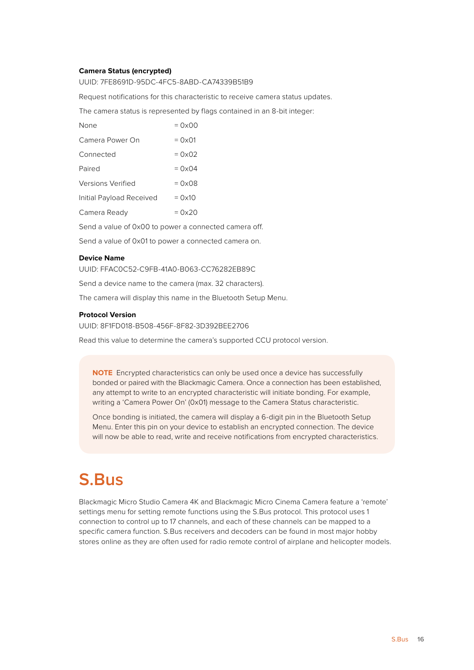#### <span id="page-15-0"></span>**Camera Status (encrypted)**

UUID: 7FE8691D-95DC-4FC5-8ABD-CA74339B51B9

Request notifications for this characteristic to receive camera status updates.

The camera status is represented by flags contained in an 8-bit integer:

| None                     | $= 0 \times 00$ |
|--------------------------|-----------------|
| Camera Power On          | $=$ 0x01        |
| Connected                | $= 0 \times 02$ |
| Paired                   | $= 0 \times 04$ |
| <b>Versions Verified</b> | $= 0 \times 08$ |
| Initial Payload Received | $=$ 0x10        |
| Camera Ready             | $= 0x20$        |
|                          |                 |

Send a value of 0x00 to power a connected camera off.

Send a value of 0x01 to power a connected camera on.

#### **Device Name**

UUID: FFAC0C52-C9FB-41A0-B063-CC76282EB89C

Send a device name to the camera (max. 32 characters).

The camera will display this name in the Bluetooth Setup Menu.

#### **Protocol Version**

UUID: 8F1FD018-B508-456F-8F82-3D392BEE2706

Read this value to determine the camera's supported CCU protocol version.

**NOTE** Encrypted characteristics can only be used once a device has successfully bonded or paired with the Blackmagic Camera. Once a connection has been established, any attempt to write to an encrypted characteristic will initiate bonding. For example, writing a 'Camera Power On' (0x01) message to the Camera Status characteristic.

Once bonding is initiated, the camera will display a 6-digit pin in the Bluetooth Setup Menu. Enter this pin on your device to establish an encrypted connection. The device will now be able to read, write and receive notifications from encrypted characteristics.

# **S.Bus**

Blackmagic Micro Studio Camera 4K and Blackmagic Micro Cinema Camera feature a 'remote' settings menu for setting remote functions using the S.Bus protocol. This protocol uses 1 connection to control up to 17 channels, and each of these channels can be mapped to a specific camera function. S.Bus receivers and decoders can be found in most major hobby stores online as they are often used for radio remote control of airplane and helicopter models.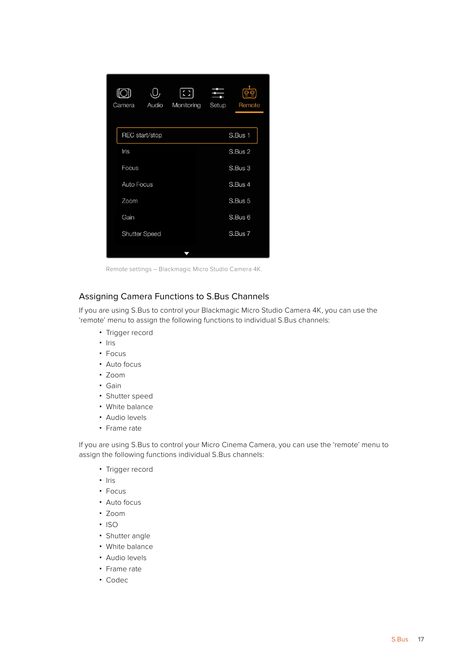<span id="page-16-0"></span>

| U<br>Camera          | Audio          | 8<br>Monitoring | Setup   | Remote  |  |  |
|----------------------|----------------|-----------------|---------|---------|--|--|
|                      | REC start/stop |                 |         | S.Bus 1 |  |  |
| Iris                 |                |                 |         | S.Bus 2 |  |  |
| Focus                |                |                 |         | S.Bus 3 |  |  |
| <b>Auto Focus</b>    |                |                 | S.Bus 4 |         |  |  |
| Zoom                 |                |                 |         | S.Bus 5 |  |  |
| Gain                 |                |                 |         | S.Bus 6 |  |  |
| <b>Shutter Speed</b> |                |                 |         | S.Bus 7 |  |  |
|                      |                |                 |         |         |  |  |

Remote settings – Blackmagic Micro Studio Camera 4K.

# Assigning Camera Functions to S.Bus Channels

If you are using S.Bus to control your Blackmagic Micro Studio Camera 4K, you can use the 'remote' menu to assign the following functions to individual S.Bus channels:

- Trigger record
- Iris
- Focus
- Auto focus
- Zoom
- Gain
- Shutter speed
- White balance
- Audio levels
- Frame rate

If you are using S.Bus to control your Micro Cinema Camera, you can use the 'remote' menu to assign the following functions individual S.Bus channels:

- Trigger record
- · Iris
- Focus
- Auto focus
- Zoom
- · ISO
- Shutter angle
- White balance
- Audio levels
- Frame rate
- Codec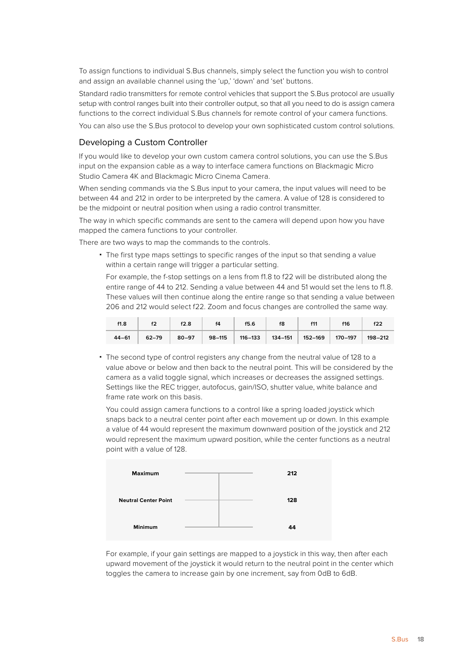<span id="page-17-0"></span>To assign functions to individual S.Bus channels, simply select the function you wish to control and assign an available channel using the 'up,' 'down' and 'set' buttons.

Standard radio transmitters for remote control vehicles that support the S.Bus protocol are usually setup with control ranges built into their controller output, so that all you need to do is assign camera functions to the correct individual S.Bus channels for remote control of your camera functions.

You can also use the S.Bus protocol to develop your own sophisticated custom control solutions.

### Developing a Custom Controller

If you would like to develop your own custom camera control solutions, you can use the S.Bus input on the expansion cable as a way to interface camera functions on Blackmagic Micro Studio Camera 4K and Blackmagic Micro Cinema Camera.

When sending commands via the S.Bus input to your camera, the input values will need to be between 44 and 212 in order to be interpreted by the camera. A value of 128 is considered to be the midpoint or neutral position when using a radio control transmitter.

The way in which specific commands are sent to the camera will depend upon how you have mapped the camera functions to your controller.

There are two ways to map the commands to the controls.

 The first type maps settings to specific ranges of the input so that sending a value within a certain range will trigger a particular setting.

For example, the f-stop settings on a lens from f1.8 to f22 will be distributed along the entire range of 44 to 212. Sending a value between 44 and 51 would set the lens to f1.8. These values will then continue along the entire range so that sending a value between 206 and 212 would select f22. Zoom and focus changes are controlled the same way.

| f1.8      | f2 | f2.8 | $\vert$ f4 | f5.6 | f8 | $\vert$ f11 | f16 | f22 |
|-----------|----|------|------------|------|----|-------------|-----|-----|
| $44 - 61$ |    |      |            |      |    |             |     |     |

 The second type of control registers any change from the neutral value of 128 to a value above or below and then back to the neutral point. This will be considered by the camera as a valid toggle signal, which increases or decreases the assigned settings. Settings like the REC trigger, autofocus, gain/ISO, shutter value, white balance and frame rate work on this basis.

You could assign camera functions to a control like a spring loaded joystick which snaps back to a neutral center point after each movement up or down. In this example a value of 44 would represent the maximum downward position of the joystick and 212 would represent the maximum upward position, while the center functions as a neutral point with a value of 128.



For example, if your gain settings are mapped to a joystick in this way, then after each upward movement of the joystick it would return to the neutral point in the center which toggles the camera to increase gain by one increment, say from 0dB to 6dB.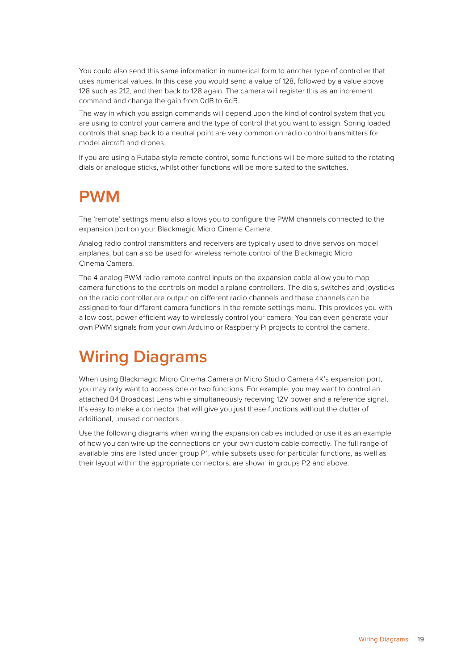<span id="page-18-0"></span>You could also send this same information in numerical form to another type of controller that uses numerical values. In this case you would send a value of 128, followed by a value above 128 such as 212, and then back to 128 again. The camera will register this as an increment command and change the gain from 0dB to 6dB.

The way in which you assign commands will depend upon the kind of control system that you are using to control your camera and the type of control that you want to assign. Spring loaded controls that snap back to a neutral point are very common on radio control transmitters for model aircraft and drones.

If you are using a Futaba style remote control, some functions will be more suited to the rotating dials or analogue sticks, whilst other functions will be more suited to the switches.

# **PWM**

The 'remote' settings menu also allows you to configure the PWM channels connected to the expansion port on your Blackmagic Micro Cinema Camera.

Analog radio control transmitters and receivers are typically used to drive servos on model airplanes, but can also be used for wireless remote control of the Blackmagic Micro Cinema Camera.

The 4 analog PWM radio remote control inputs on the expansion cable allow you to map camera functions to the controls on model airplane controllers. The dials, switches and joysticks on the radio controller are output on different radio channels and these channels can be assigned to four different camera functions in the remote settings menu. This provides you with a low cost, power efficient way to wirelessly control your camera. You can even generate your own PWM signals from your own Arduino or Raspberry Pi projects to control the camera.

# **Wiring Diagrams**

When using Blackmagic Micro Cinema Camera or Micro Studio Camera 4K's expansion port, you may only want to access one or two functions. For example, you may want to control an attached B4 Broadcast Lens while simultaneously receiving 12V power and a reference signal. It's easy to make a connector that will give you just these functions without the clutter of additional, unused connectors.

Use the following diagrams when wiring the expansion cables included or use it as an example of how you can wire up the connections on your own custom cable correctly. The full range of available pins are listed under group P1, while subsets used for particular functions, as well as their layout within the appropriate connectors, are shown in groups P2 and above.